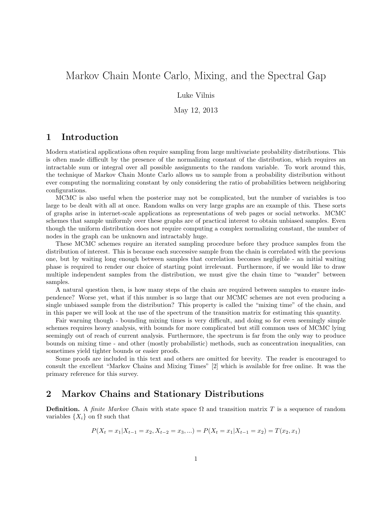# Markov Chain Monte Carlo, Mixing, and the Spectral Gap

Luke Vilnis

May 12, 2013

## 1 Introduction

Modern statistical applications often require sampling from large multivariate probability distributions. This is often made difficult by the presence of the normalizing constant of the distribution, which requires an intractable sum or integral over all possible assignments to the random variable. To work around this, the technique of Markov Chain Monte Carlo allows us to sample from a probability distribution without ever computing the normalizing constant by only considering the ratio of probabilities between neighboring configurations.

MCMC is also useful when the posterior may not be complicated, but the number of variables is too large to be dealt with all at once. Random walks on very large graphs are an example of this. These sorts of graphs arise in internet-scale applications as representations of web pages or social networks. MCMC schemes that sample uniformly over these graphs are of practical interest to obtain unbiased samples. Even though the uniform distribution does not require computing a complex normalizing constant, the number of nodes in the graph can be unknown and intractably huge.

These MCMC schemes require an iterated sampling procedure before they produce samples from the distribution of interest. This is because each successive sample from the chain is correlated with the previous one, but by waiting long enough between samples that correlation becomes negligible - an initial waiting phase is required to render our choice of starting point irrelevant. Furthermore, if we would like to draw multiple independent samples from the distribution, we must give the chain time to "wander" between samples.

A natural question then, is how many steps of the chain are required between samples to ensure independence? Worse yet, what if this number is so large that our MCMC schemes are not even producing a single unbiased sample from the distribution? This property is called the "mixing time" of the chain, and in this paper we will look at the use of the spectrum of the transition matrix for estimating this quantity.

Fair warning though - bounding mixing times is very difficult, and doing so for even seemingly simple schemes requires heavy analysis, with bounds for more complicated but still common uses of MCMC lying seemingly out of reach of current analysis. Furthermore, the spectrum is far from the only way to produce bounds on mixing time - and other (mostly probabilistic) methods, such as concentration inequalities, can sometimes yield tighter bounds or easier proofs.

Some proofs are included in this text and others are omitted for brevity. The reader is encouraged to consult the excellent "Markov Chains and Mixing Times" [2] which is available for free online. It was the primary reference for this survey.

### 2 Markov Chains and Stationary Distributions

**Definition.** A finite Markov Chain with state space  $\Omega$  and transition matrix T is a sequence of random variables  $\{X_i\}$  on  $\Omega$  such that

$$
P(X_t = x_1 | X_{t-1} = x_2, X_{t-2} = x_3, \ldots) = P(X_t = x_1 | X_{t-1} = x_2) = T(x_2, x_1)
$$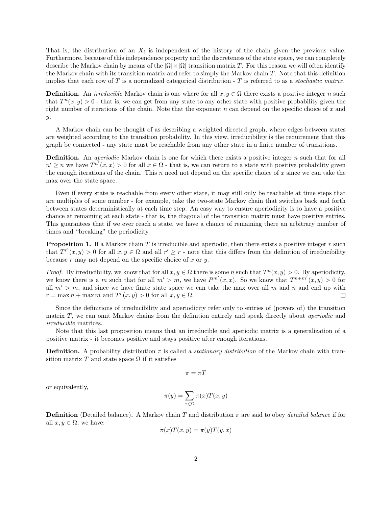That is, the distribution of an  $X_i$  is independent of the history of the chain given the previous value. Furthermore, because of this independence property and the discreteness of the state space, we can completely describe the Markov chain by means of the  $|\Omega| \times |\Omega|$  transition matrix T. For this reason we will often identify the Markov chain with its transition matrix and refer to simply the Markov chain T. Note that this definition implies that each row of  $T$  is a normalized categorical distribution -  $T$  is referred to as a *stochastic matrix*.

**Definition.** An *irreducible* Markov chain is one where for all  $x, y \in \Omega$  there exists a positive integer n such that  $T^{n}(x, y) > 0$  - that is, we can get from any state to any other state with positive probability given the right number of iterations of the chain. Note that the exponent  $n$  can depend on the specific choice of  $x$  and y.

A Markov chain can be thought of as describing a weighted directed graph, where edges between states are weighted according to the transition probability. In this view, irreducibility is the requirement that this graph be connected - any state must be reachable from any other state in a finite number of transitions.

**Definition.** An *aperiodic* Markov chain is one for which there exists a positive integer  $n$  such that for all  $n' \geq n$  we have  $T^{n'}(x, x) > 0$  for all  $x \in \Omega$  - that is, we can return to a state with positive probability given the enough iterations of the chain. This  $n$  need not depend on the specific choice of  $x$  since we can take the max over the state space.

Even if every state is reachable from every other state, it may still only be reachable at time steps that are multiples of some number - for example, take the two-state Markov chain that switches back and forth between states deterministically at each time step. An easy way to ensure aperiodicity is to have a positive chance at remaining at each state - that is, the diagonal of the transition matrix must have positive entries. This guarantees that if we ever reach a state, we have a chance of remaining there an arbitrary number of times and "breaking" the periodicity.

**Proposition 1.** If a Markov chain  $T$  is irreducible and aperiodic, then there exists a positive integer  $r$  such that  $T^{r'}(x, y) > 0$  for all  $x, y \in \Omega$  and all  $r' \geq r$  - note that this differs from the definition of irreducibility because  $r$  may not depend on the specific choice of  $x$  or  $y$ .

*Proof.* By irreducibility, we know that for all  $x, y \in \Omega$  there is some n such that  $T^n(x, y) > 0$ . By aperiodicity, we know there is a m such that for all  $m' > m$ , we have  $P^{m'}(x, x)$ . So we know that  $T^{n+m'}(x, y) > 0$  for all  $m' > m$ , and since we have finite state space we can take the max over all m and n and end up with  $r = \max n + \max m$  and  $T^r(x, y) > 0$  for all  $x, y \in \Omega$ .  $\Box$ 

Since the definitions of irreducibility and aperiodicity refer only to entries of (powers of) the transition matrix T, we can omit Markov chains from the definition entirely and speak directly about aperiodic and irreducible matrices.

Note that this last proposition means that an irreducible and aperiodic matrix is a generalization of a positive matrix - it becomes positive and stays positive after enough iterations.

**Definition.** A probability distribution  $\pi$  is called a *stationary distribution* of the Markov chain with transition matrix T and state space  $\Omega$  if it satisfies

$$
\pi = \pi T
$$

or equivalently,

$$
\pi(y) = \sum_{x \in \Omega} \pi(x) T(x, y)
$$

**Definition** (Detailed balance). A Markov chain T and distribution  $\pi$  are said to obey *detailed balance* if for all  $x, y \in \Omega$ , we have:

$$
\pi(x)T(x,y) = \pi(y)T(y,x)
$$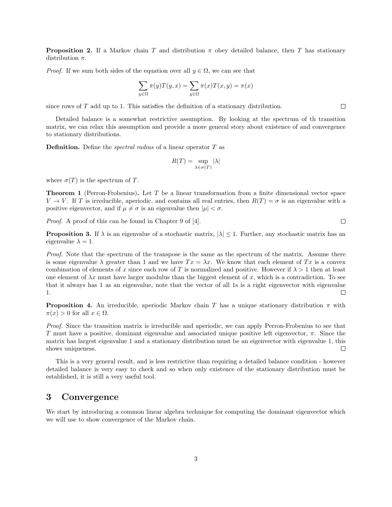**Proposition 2.** If a Markov chain T and distribution  $\pi$  obey detailed balance, then T has stationary distribution  $\pi$ .

*Proof.* If we sum both sides of the equation over all  $y \in \Omega$ , we can see that

$$
\sum_{y \in \Omega} \pi(y) T(y, x) = \sum_{y \in \Omega} \pi(x) T(x, y) = \pi(x)
$$

since rows of T add up to 1. This satisfies the definition of a stationary distribution.

Detailed balance is a somewhat restrictive assumption. By looking at the spectrum of th transition matrix, we can relax this assumption and provide a more general story about existence of and convergence to stationary distributions.

**Definition.** Define the *spectral radius* of a linear operator  $T$  as

$$
R(T) = \sup_{\lambda \in \sigma(T)} |\lambda|
$$

where  $\sigma(T)$  is the spectrum of T.

**Theorem 1** (Perron-Frobenius). Let  $T$  be a linear transformation from a finite dimensional vector space  $V \to V$ . If T is irreducible, aperiodic, and contains all real entries, then  $R(T) = \sigma$  is an eigenvalue with a positive eigenvector, and if  $\mu \neq \sigma$  is an eigenvalue then  $|\mu| < \sigma$ .

Proof. A proof of this can be found in Chapter 9 of [4].

**Proposition 3.** If  $\lambda$  is an eigenvalue of a stochastic matrix,  $|\lambda| \leq 1$ . Further, any stochastic matrix has an eigenvalue  $\lambda = 1$ .

Proof. Note that the spectrum of the transpose is the same as the spectrum of the matrix. Assume there is some eigenvalue  $\lambda$  greater than 1 and we have  $Tx = \lambda x$ . We know that each element of Tx is a convex combination of elements of x since each row of T is normalized and positive. However if  $\lambda > 1$  then at least one element of  $\lambda x$  must have larger modulus than the biggest element of x, which is a contradiction. To see that it always has 1 as an eigenvalue, note that the vector of all 1s is a right eigenvector with eigenvalue 1.  $\Box$ 

**Proposition 4.** An irreducible, aperiodic Markov chain T has a unique stationary distribution  $\pi$  with  $\pi(x) > 0$  for all  $x \in \Omega$ .

Proof. Since the transition matrix is irreducible and aperiodic, we can apply Perron-Frobenius to see that T must have a positive, dominant eigenvalue and associated unique positive left eigenvector,  $\pi$ . Since the matrix has largest eigenvalue 1 and a stationary distribution must be an eigenvector with eigenvalue 1, this  $\Box$ shows uniqueness.

This is a very general result, and is less restrictive than requiring a detailed balance condition - however detailed balance is very easy to check and so when only existence of the stationary distribution must be established, it is still a very useful tool.

#### 3 Convergence

We start by introducing a common linear algebra technique for computing the dominant eigenvector which we will use to show convergence of the Markov chain.

 $\Box$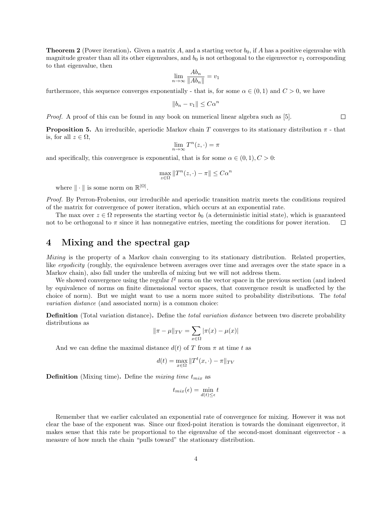**Theorem 2** (Power iteration). Given a matrix A, and a starting vector  $b_0$ , if A has a positive eigenvalue with magnitude greater than all its other eigenvalues, and  $b_0$  is not orthogonal to the eigenvector  $v_1$  corresponding to that eigenvalue, then

$$
\lim_{n \to \infty} \frac{Ab_n}{\|Ab_n\|} = v_1
$$

furthermore, this sequence converges exponentially - that is, for some  $\alpha \in (0,1)$  and  $C > 0$ , we have

$$
||b_n - v_1|| \leq C\alpha^n
$$

Proof. A proof of this can be found in any book on numerical linear algebra such as [5].

**Proposition 5.** An irreducible, aperiodic Markov chain T converges to its stationary distribution  $\pi$  - that is, for all  $z \in \Omega$ ,

$$
\lim_{n \to \infty} T^n(z, \cdot) = \pi
$$

and specifically, this convergence is exponential, that is for some  $\alpha \in (0,1), C > 0$ :

$$
\max_{z \in \Omega} \|T^n(z, \cdot) - \pi\| \le C\alpha^n
$$

where  $\|\cdot\|$  is some norm on  $\mathbb{R}^{|\Omega|}$ .

Proof. By Perron-Frobenius, our irreducible and aperiodic transition matrix meets the conditions required of the matrix for convergence of power iteration, which occurs at an exponential rate.

The max over  $z \in \Omega$  represents the starting vector  $b_0$  (a deterministic initial state), which is guaranteed not to be orthogonal to  $\pi$  since it has nonnegative entries, meeting the conditions for power iteration.

#### 4 Mixing and the spectral gap

Mixing is the property of a Markov chain converging to its stationary distribution. Related properties, like *ergodicity* (roughly, the equivalence between averages over time and averages over the state space in a Markov chain), also fall under the umbrella of mixing but we will not address them.

We showed convergence using the regular  $l^2$  norm on the vector space in the previous section (and indeed by equivalence of norms on finite dimensional vector spaces, that convergence result is unaffected by the choice of norm). But we might want to use a norm more suited to probability distributions. The total variation distance (and associated norm) is a common choice:

**Definition** (Total variation distance). Define the *total variation distance* between two discrete probability distributions as

$$
\|\pi - \mu\|_{TV} = \sum_{x \in \Omega} |\pi(x) - \mu(x)|
$$

And we can define the maximal distance  $d(t)$  of T from  $\pi$  at time t as

$$
d(t) = \max_{x \in \Omega} \|T^t(x, \cdot) - \pi\|_{TV}
$$

**Definition** (Mixing time). Define the *mixing time*  $t_{mix}$  as

$$
t_{mix}(\epsilon) = \min_{d(t) \le \epsilon} t
$$

Remember that we earlier calculated an exponential rate of convergence for mixing. However it was not clear the base of the exponent was. Since our fixed-point iteration is towards the dominant eigenvector, it makes sense that this rate be proportional to the eigenvalue of the second-most dominant eigenvector - a measure of how much the chain "pulls toward" the stationary distribution.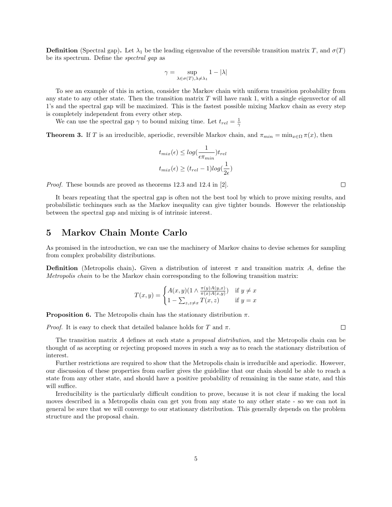**Definition** (Spectral gap). Let  $\lambda_1$  be the leading eigenvalue of the reversible transition matrix T, and  $\sigma(T)$ be its spectrum. Define the spectral gap as

$$
\gamma = \sup_{\lambda \in \sigma(T), \lambda \neq \lambda_1} 1 - |\lambda|
$$

To see an example of this in action, consider the Markov chain with uniform transition probability from any state to any other state. Then the transition matrix  $T$  will have rank 1, with a single eigenvector of all 1's and the spectral gap will be maximized. This is the fastest possible mixing Markov chain as every step is completely independent from every other step.

We can use the spectral gap  $\gamma$  to bound mixing time. Let  $t_{rel} = \frac{1}{\gamma}$ 

**Theorem 3.** If T is an irreducible, aperiodic, reversible Markov chain, and  $\pi_{min} = \min_{x \in \Omega} \pi(x)$ , then

$$
t_{mix}(\epsilon) \le \log(\frac{1}{\epsilon \pi_{min}}) t_{rel}
$$

$$
t_{mix}(\epsilon) \ge (t_{rel} - 1) \log(\frac{1}{2\epsilon})
$$

Proof. These bounds are proved as theorems 12.3 and 12.4 in [2].

It bears repeating that the spectral gap is often not the best tool by which to prove mixing results, and probabilistic techinques such as the Markov inequality can give tighter bounds. However the relationship between the spectral gap and mixing is of intrinsic interest.

## 5 Markov Chain Monte Carlo

As promised in the introduction, we can use the machinery of Markov chains to devise schemes for sampling from complex probability distributions.

**Definition** (Metropolis chain). Given a distribution of interest  $\pi$  and transition matrix A, define the Metropolis chain to be the Markov chain corresponding to the following transition matrix:

$$
T(x,y) = \begin{cases} A(x,y)(1 \wedge \frac{\pi(y)A(y,x)}{\pi(x)A(x,y)}) & \text{if } y \neq x \\ 1 - \sum_{z,z \neq x} T(x,z) & \text{if } y = x \end{cases}
$$

**Proposition 6.** The Metropolis chain has the stationary distribution  $\pi$ .

*Proof.* It is easy to check that detailed balance holds for T and  $\pi$ .

 $\Box$ 

The transition matrix A defines at each state a proposal distribution, and the Metropolis chain can be thought of as accepting or rejecting proposed moves in such a way as to reach the stationary distribution of interest.

Further restrictions are required to show that the Metropolis chain is irreducible and aperiodic. However, our discussion of these properties from earlier gives the guideline that our chain should be able to reach a state from any other state, and should have a positive probability of remaining in the same state, and this will suffice.

Irreducibility is the particularly difficult condition to prove, because it is not clear if making the local moves described in a Metropolis chain can get you from any state to any other state - so we can not in general be sure that we will converge to our stationary distribution. This generally depends on the problem structure and the proposal chain.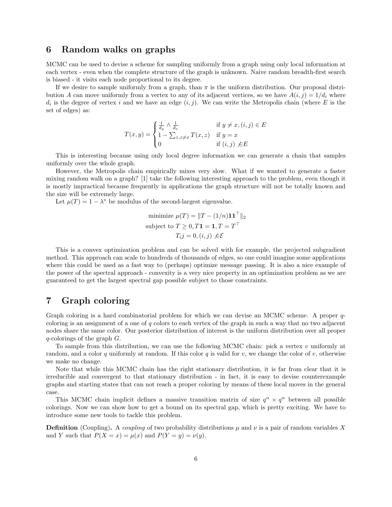#### 6 Random walks on graphs

MCMC can be used to devise a scheme for sampling uniformly from a graph using only local information at each vertex - even when the complete structure of the graph is unknown. Naive random breadth-first search is biased - it visits each node proportional to its degree.

If we desire to sample uniformly from a graph, than  $\pi$  is the uniform distribution. Our proposal distribution A can move uniformly from a vertex to any of its adjacent vertices, so we have  $A(i, j) = 1/d_i$  where  $d_i$  is the degree of vertex i and we have an edge  $(i, j)$ . We can write the Metropolis chain (where E is the set of edges) as:

$$
T(x,y) = \begin{cases} \frac{1}{d_y} \wedge \frac{1}{d_x} & \text{if } y \neq x, (i,j) \in E \\ 1 - \sum_{z,z \neq x} T(x,z) & \text{if } y = x \\ 0 & \text{if } (i,j) \not\in E \end{cases}
$$

This is interesting because using only local degree information we can generate a chain that samples uniformly over the whole graph.

However, the Metropolis chain empirically mixes very slow. What if we wanted to generate a faster mixing random walk on a graph? [1] take the following interesting approach to the problem, even though it is mostly impractical because frequently in applications the graph structure will not be totally known and the size will be extremely large.

Let  $\mu(T) = 1 - \lambda^*$  be modulus of the second-largest eigenvalue.

minimize 
$$
\mu(T) = ||T - (1/n)\mathbf{1}\mathbf{1}^\top||_2
$$
  
subject to  $T \ge 0, T\mathbf{1} = \mathbf{1}, T = T^\top$   
 $T_i j = 0, (i, j) \notin \mathcal{E}$ 

This is a convex optimization problem and can be solved with for example, the projected subgradient method. This approach can scale to hundreds of thousands of edges, so one could imagine some applications where this could be used as a fast way to (perhaps) optimize message passing. It is also a nice example of the power of the spectral approach - convexity is a very nice property in an optimization problem as we are guaranteed to get the largest spectral gap possible subject to those constraints.

## 7 Graph coloring

Graph coloring is a hard combinatorial problem for which we can devise an MCMC scheme. A proper qcoloring is an assignment of a one of q colors to each vertex of the graph in such a way that no two adjacent nodes share the same color. Our posterior distribution of interest is the uniform distribution over all proper  $q$ -colorings of the graph  $G$ .

To sample from this distribution, we can use the following MCMC chain: pick a vertex v uniformly at random, and a color q uniformly at random. If this color q is valid for v, we change the color of v, otherwise we make no change.

Note that while this MCMC chain has the right stationary distribution, it is far from clear that it is irreducible and convergent to that stationary distribution - in fact, it is easy to devise counterexample graphs and starting states that can not reach a proper coloring by means of these local moves in the general case.

This MCMC chain implicit defines a massive transition matrix of size  $q^n \times q^n$  between all possible colorings. Now we can show how to get a bound on its spectral gap, which is pretty exciting. We have to introduce some new tools to tackle this problem.

**Definition** (Coupling). A coupling of two probability distributions  $\mu$  and  $\nu$  is a pair of random variables X and Y such that  $P(X = x) = \mu(x)$  and  $P(Y = y) = \nu(y)$ .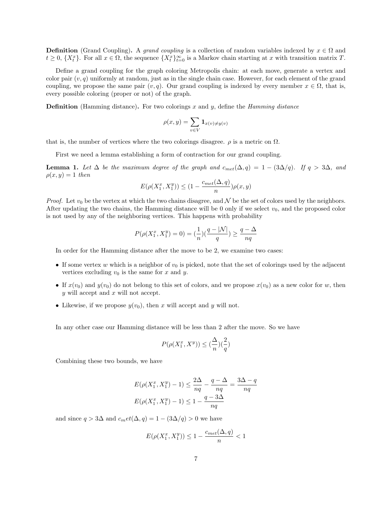**Definition** (Grand Coupling). A grand coupling is a collection of random variables indexed by  $x \in \Omega$  and  $t \geq 0$ ,  $\{X_t^x\}$ . For all  $x \in \Omega$ , the sequence  $\{X_t^x\}_{t=0}^\infty$  is a Markov chain starting at x with transition matrix T.

Define a grand coupling for the graph coloring Metropolis chain: at each move, generate a vertex and color pair  $(v, q)$  uniformly at random, just as in the single chain case. However, for each element of the grand coupling, we propose the same pair  $(v, q)$ . Our grand coupling is indexed by every member  $x \in \Omega$ , that is, every possible coloring (proper or not) of the graph.

**Definition** (Hamming distance). For two colorings x and y, define the *Hamming distance* 

$$
\rho(x,y) = \sum_{v \in V} \mathbf{1}_{x(v) \neq y(v)}
$$

that is, the number of vertices where the two colorings disagree.  $\rho$  is a metric on  $\Omega$ .

First we need a lemma establishing a form of contraction for our grand coupling.

**Lemma 1.** Let  $\Delta$  be the maximum degree of the graph and  $c_{met}(\Delta, q) = 1 - (3\Delta/q)$ . If  $q > 3\Delta$ , and  $\rho(x,y) = 1$  then

$$
E(\rho(X_1^x, X_1^y)) \le (1 - \frac{c_{met}(\Delta, q)}{n})\rho(x, y)
$$

*Proof.* Let  $v_0$  be the vertex at which the two chains disagree, and N be the set of colors used by the neighbors. After updating the two chains, the Hamming distance will be 0 only if we select  $v_0$ , and the proposed color is not used by any of the neighboring vertices. This happens with probability

$$
P(\rho(X_1^x,X_1^y)=0)=(\frac{1}{n})(\frac{q-|\mathcal{N}|}{q})\geq \frac{q-\Delta}{nq}
$$

In order for the Hamming distance after the move to be 2, we examine two cases:

- If some vertex w which is a neighbor of  $v_0$  is picked, note that the set of colorings used by the adjacent vertices excluding  $v_0$  is the same for x and y.
- If  $x(v_0)$  and  $y(v_0)$  do not belong to this set of colors, and we propose  $x(v_0)$  as a new color for w, then  $y$  will accept and  $x$  will not accept.
- Likewise, if we propose  $y(v_0)$ , then x will accept and y will not.

In any other case our Hamming distance will be less than 2 after the move. So we have

$$
P(\rho(X_1^x, X^y)) \le (\frac{\Delta}{n})(\frac{2}{q})
$$

Combining these two bounds, we have

$$
E(\rho(X_1^x, X_1^y) - 1) \le \frac{2\Delta}{nq} - \frac{q - \Delta}{nq} = \frac{3\Delta - q}{nq}
$$

$$
E(\rho(X_1^x, X_1^y) - 1) \le 1 - \frac{q - 3\Delta}{nq}
$$

and since  $q > 3\Delta$  and  $c_m et(\Delta, q) = 1 - (3\Delta/q) > 0$  we have

$$
E(\rho(X_1^x, X_1^y)) \le 1 - \frac{c_{met}(\Delta, q)}{n} < 1
$$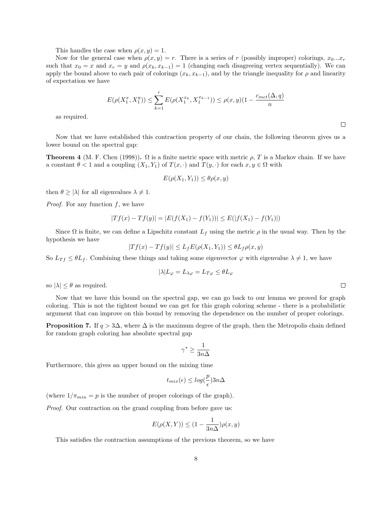This handles the case when  $\rho(x, y) = 1$ .

Now for the general case when  $\rho(x, y) = r$ . There is a series of r (possibly improper) colorings,  $x_0...x_r$ such that  $x_0 = x$  and  $x_r = y$  and  $\rho(x_k, x_{k-1}) = 1$  (changing each disagreeing vertex sequentially). We can apply the bound above to each pair of colorings  $(x_k, x_{k-1})$ , and by the triangle inequality for  $\rho$  and linearity of expectation we have

$$
E(\rho(X_1^x, X_1^y)) \le \sum_{k=1}^r E(\rho(X_1^{x_k}, X_1^{x_{k-1}})) \le \rho(x, y)(1 - \frac{c_{met}(\Delta, q)}{n})
$$

 $\Box$ 

 $\Box$ 

as required.

Now that we have established this contraction property of our chain, the following theorem gives us a lower bound on the spectral gap:

**Theorem 4** (M. F. Chen (1998)).  $\Omega$  is a finite metric space with metric  $\rho$ , T is a Markov chain. If we have a constant  $\theta < 1$  and a coupling  $(X_1, Y_1)$  of  $T(x, \cdot)$  and  $T(y, \cdot)$  for each  $x, y \in \Omega$  with

$$
E(\rho(X_1, Y_1)) \le \theta \rho(x, y)
$$

then  $\theta \ge |\lambda|$  for all eigenvalues  $\lambda \ne 1$ .

*Proof.* For any function  $f$ , we have

$$
|Tf(x) - Tf(y)| = |E(f(X_1) - f(Y_1))| \le E(|f(X_1) - f(Y_1)|)
$$

Since  $\Omega$  is finite, we can define a Lipschitz constant  $L_f$  using the metric  $\rho$  in the usual way. Then by the hypothesis we have

$$
|Tf(x) - Tf(y)| \le L_f E(\rho(X_1, Y_1)) \le \theta L_f \rho(x, y)
$$

So  $L_{Tf} \leq \theta L_f$ . Combining these things and taking some eigenvector  $\varphi$  with eigenvalue  $\lambda \neq 1$ , we have

$$
|\lambda|L_{\varphi} = L_{\lambda\varphi} = L_{T\varphi} \leq \theta L_{\varphi}
$$

so  $|\lambda| \leq \theta$  as required.

Now that we have this bound on the spectral gap, we can go back to our lemma we proved for graph coloring. This is not the tightest bound we can get for this graph coloring scheme - there is a probabilistic argument that can improve on this bound by removing the dependence on the number of proper colorings.

**Proposition 7.** If  $q > 3\Delta$ , where  $\Delta$  is the maximum degree of the graph, then the Metropolis chain defined for random graph coloring has absolute spectral gap

$$
\gamma^* \geq \frac{1}{3n\Delta}
$$

Furthermore, this gives an upper bound on the mixing time

$$
t_{mix}(\epsilon) \leq \log(\frac{p}{\epsilon}) 3n\Delta
$$

(where  $1/\pi_{min} = p$  is the number of proper colorings of the graph).

Proof. Our contraction on the grand coupling from before gave us:

$$
E(\rho(X, Y)) \le (1 - \frac{1}{3n\Delta})\rho(x, y)
$$

This satisfies the contraction assumptions of the previous theorem, so we have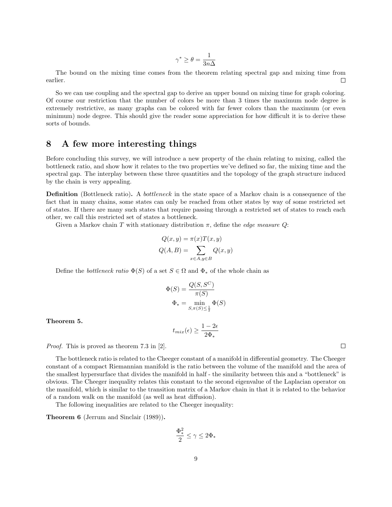$$
\gamma^*\geq \theta=\frac{1}{3n\Delta}
$$

The bound on the mixing time comes from the theorem relating spectral gap and mixing time from earlier. П

So we can use coupling and the spectral gap to derive an upper bound on mixing time for graph coloring. Of course our restriction that the number of colors be more than 3 times the maximum node degree is extremely restrictive, as many graphs can be colored with far fewer colors than the maximum (or even minimum) node degree. This should give the reader some appreciation for how difficult it is to derive these sorts of bounds.

## 8 A few more interesting things

Before concluding this survey, we will introduce a new property of the chain relating to mixing, called the bottleneck ratio, and show how it relates to the two properties we've defined so far, the mixing time and the spectral gap. The interplay between these three quantities and the topology of the graph structure induced by the chain is very appealing.

Definition (Bottleneck ratio). A bottleneck in the state space of a Markov chain is a consequence of the fact that in many chains, some states can only be reached from other states by way of some restricted set of states. If there are many such states that require passing through a restricted set of states to reach each other, we call this restricted set of states a bottleneck.

Given a Markov chain T with stationary distribution  $\pi$ , define the *edge measure Q*:

$$
Q(x, y) = \pi(x)T(x, y)
$$

$$
Q(A, B) = \sum_{x \in A, y \in B} Q(x, y)
$$

Q(x, y) = π(x)T(x, y)

Define the *bottleneck ratio*  $\Phi(S)$  of a set  $S \in \Omega$  and  $\Phi_*$  of the whole chain as

$$
\Phi(S) = \frac{Q(S, S^C)}{\pi(S)}
$$

$$
\Phi_* = \min_{S, \pi(S) \le \frac{1}{2}} \Phi(S)
$$

Theorem 5.

 $t_{mix}(\epsilon) \geq \frac{1-2\epsilon}{2\delta}$ 2Φ<sup>∗</sup>

Proof. This is proved as theorem 7.3 in [2].

The bottleneck ratio is related to the Cheeger constant of a manifold in differential geometry. The Cheeger constant of a compact Riemannian manifold is the ratio between the volume of the manifold and the area of the smallest hypersurface that divides the manifold in half - the similarity between this and a "bottleneck" is obvious. The Cheeger inequality relates this constant to the second eigenvalue of the Laplacian operator on the manifold, which is similar to the transition matrix of a Markov chain in that it is related to the behavior of a random walk on the manifold (as well as heat diffusion).

The following inequalities are related to the Cheeger inequality:

Theorem 6 (Jerrum and Sinclair (1989)).

$$
\frac{\Phi_*^2}{2}\leq \gamma \leq 2\Phi_*
$$